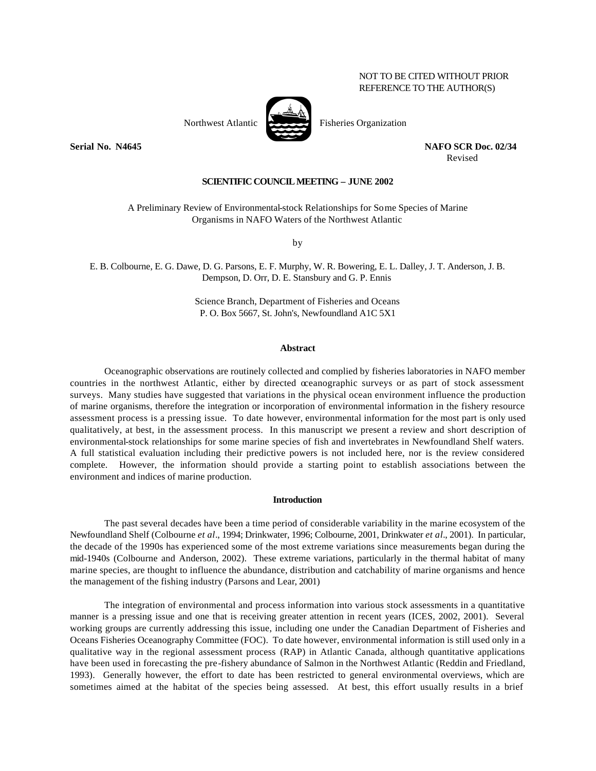# NOT TO BE CITED WITHOUT PRIOR REFERENCE TO THE AUTHOR(S)

**Serial No. N4645 NAFO SCR Doc. 02/34**

Revised

## **SCIENTIFIC COUNCIL MEETING – JUNE 2002**

A Preliminary Review of Environmental-stock Relationships for Some Species of Marine Organisms in NAFO Waters of the Northwest Atlantic

by

E. B. Colbourne, E. G. Dawe, D. G. Parsons, E. F. Murphy, W. R. Bowering, E. L. Dalley, J. T. Anderson, J. B. Dempson, D. Orr, D. E. Stansbury and G. P. Ennis

> Science Branch, Department of Fisheries and Oceans P. O. Box 5667, St. John's, Newfoundland A1C 5X1

# **Abstract**

Oceanographic observations are routinely collected and complied by fisheries laboratories in NAFO member countries in the northwest Atlantic, either by directed oceanographic surveys or as part of stock assessment surveys. Many studies have suggested that variations in the physical ocean environment influence the production of marine organisms, therefore the integration or incorporation of environmental information in the fishery resource assessment process is a pressing issue. To date however, environmental information for the most part is only used qualitatively, at best, in the assessment process. In this manuscript we present a review and short description of environmental-stock relationships for some marine species of fish and invertebrates in Newfoundland Shelf waters. A full statistical evaluation including their predictive powers is not included here, nor is the review considered complete. However, the information should provide a starting point to establish associations between the environment and indices of marine production.

# **Introduction**

The past several decades have been a time period of considerable variability in the marine ecosystem of the Newfoundland Shelf (Colbourne *et al*., 1994; Drinkwater, 1996; Colbourne, 2001, Drinkwater *et al.*, 2001). In particular, the decade of the 1990s has experienced some of the most extreme variations since measurements began during the mid-1940s (Colbourne and Anderson, 2002). These extreme variations, particularly in the thermal habitat of many marine species, are thought to influence the abundance, distribution and catchability of marine organisms and hence the management of the fishing industry (Parsons and Lear, 2001)

The integration of environmental and process information into various stock assessments in a quantitative manner is a pressing issue and one that is receiving greater attention in recent years (ICES, 2002, 2001). Several working groups are currently addressing this issue, including one under the Canadian Department of Fisheries and Oceans Fisheries Oceanography Committee (FOC). To date however, environmental information is still used only in a qualitative way in the regional assessment process (RAP) in Atlantic Canada, although quantitative applications have been used in forecasting the pre-fishery abundance of Salmon in the Northwest Atlantic (Reddin and Friedland, 1993). Generally however, the effort to date has been restricted to general environmental overviews, which are sometimes aimed at the habitat of the species being assessed. At best, this effort usually results in a brief

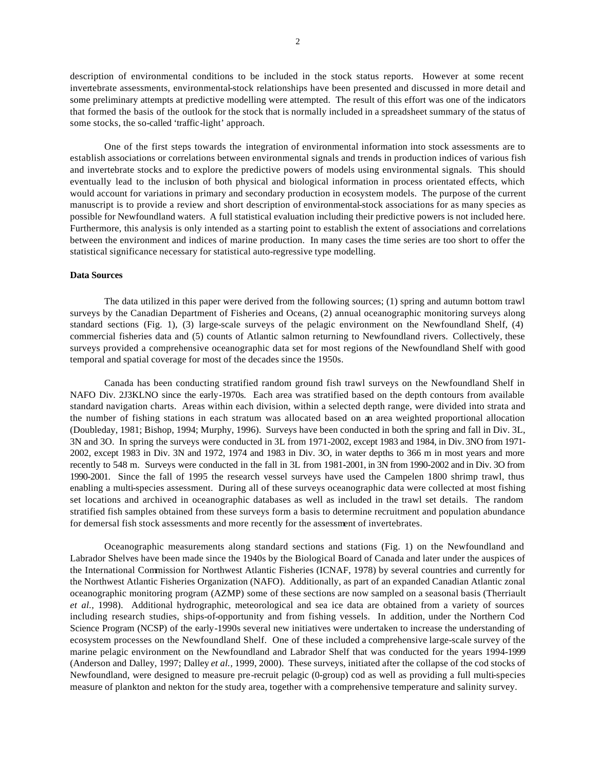description of environmental conditions to be included in the stock status reports. However at some recent invertebrate assessments, environmental-stock relationships have been presented and discussed in more detail and some preliminary attempts at predictive modelling were attempted. The result of this effort was one of the indicators that formed the basis of the outlook for the stock that is normally included in a spreadsheet summary of the status of some stocks, the so-called 'traffic-light' approach.

One of the first steps towards the integration of environmental information into stock assessments are to establish associations or correlations between environmental signals and trends in production indices of various fish and invertebrate stocks and to explore the predictive powers of models using environmental signals. This should eventually lead to the inclusion of both physical and biological information in process orientated effects, which would account for variations in primary and secondary production in ecosystem models. The purpose of the current manuscript is to provide a review and short description of environmental-stock associations for as many species as possible for Newfoundland waters. A full statistical evaluation including their predictive powers is not included here. Furthermore, this analysis is only intended as a starting point to establish the extent of associations and correlations between the environment and indices of marine production. In many cases the time series are too short to offer the statistical significance necessary for statistical auto-regressive type modelling.

## **Data Sources**

The data utilized in this paper were derived from the following sources; (1) spring and autumn bottom trawl surveys by the Canadian Department of Fisheries and Oceans, (2) annual oceanographic monitoring surveys along standard sections (Fig. 1), (3) large-scale surveys of the pelagic environment on the Newfoundland Shelf, (4) commercial fisheries data and (5) counts of Atlantic salmon returning to Newfoundland rivers. Collectively, these surveys provided a comprehensive oceanographic data set for most regions of the Newfoundland Shelf with good temporal and spatial coverage for most of the decades since the 1950s.

Canada has been conducting stratified random ground fish trawl surveys on the Newfoundland Shelf in NAFO Div. 2J3KLNO since the early-1970s. Each area was stratified based on the depth contours from available standard navigation charts. Areas within each division, within a selected depth range, were divided into strata and the number of fishing stations in each stratum was allocated based on an area weighted proportional allocation (Doubleday, 1981; Bishop, 1994; Murphy, 1996). Surveys have been conducted in both the spring and fall in Div. 3L, 3N and 3O. In spring the surveys were conducted in 3L from 1971-2002, except 1983 and 1984, in Div. 3NO from 1971- 2002, except 1983 in Div. 3N and 1972, 1974 and 1983 in Div. 3O, in water depths to 366 m in most years and more recently to 548 m. Surveys were conducted in the fall in 3L from 1981-2001, in 3N from 1990-2002 and in Div. 3O from 1990-2001. Since the fall of 1995 the research vessel surveys have used the Campelen 1800 shrimp trawl, thus enabling a multi-species assessment. During all of these surveys oceanographic data were collected at most fishing set locations and archived in oceanographic databases as well as included in the trawl set details. The random stratified fish samples obtained from these surveys form a basis to determine recruitment and population abundance for demersal fish stock assessments and more recently for the assessment of invertebrates.

Oceanographic measurements along standard sections and stations (Fig. 1) on the Newfoundland and Labrador Shelves have been made since the 1940s by the Biological Board of Canada and later under the auspices of the International Commission for Northwest Atlantic Fisheries (ICNAF, 1978) by several countries and currently for the Northwest Atlantic Fisheries Organization (NAFO). Additionally, as part of an expanded Canadian Atlantic zonal oceanographic monitoring program (AZMP) some of these sections are now sampled on a seasonal basis (Therriault *et al.,* 1998). Additional hydrographic, meteorological and sea ice data are obtained from a variety of sources including research studies, ships-of-opportunity and from fishing vessels. In addition, under the Northern Cod Science Program (NCSP) of the early-1990s several new initiatives were undertaken to increase the understanding of ecosystem processes on the Newfoundland Shelf. One of these included a comprehensive large-scale survey of the marine pelagic environment on the Newfoundland and Labrador Shelf that was conducted for the years 1994-1999 (Anderson and Dalley, 1997; Dalley *et al.,* 1999, 2000). These surveys, initiated after the collapse of the cod stocks of Newfoundland, were designed to measure pre-recruit pelagic (0-group) cod as well as providing a full multi-species measure of plankton and nekton for the study area, together with a comprehensive temperature and salinity survey.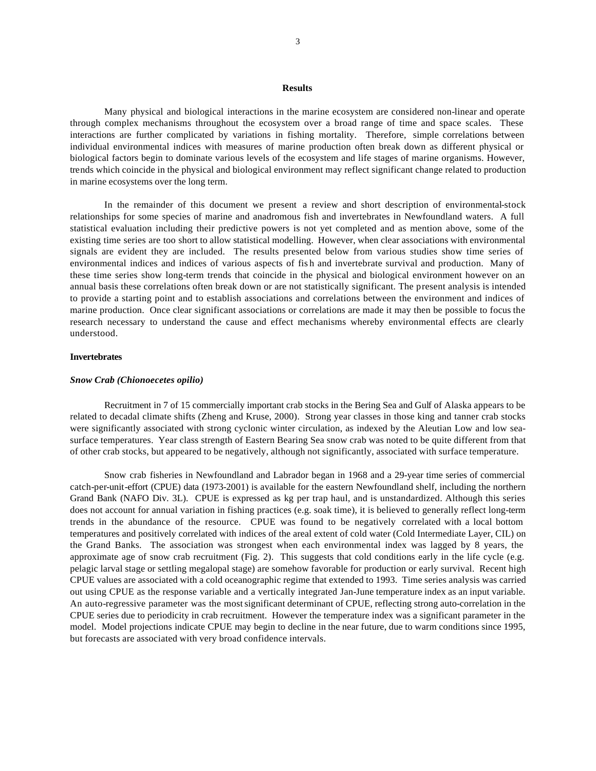#### **Results**

Many physical and biological interactions in the marine ecosystem are considered non-linear and operate through complex mechanisms throughout the ecosystem over a broad range of time and space scales. These interactions are further complicated by variations in fishing mortality. Therefore, simple correlations between individual environmental indices with measures of marine production often break down as different physical or biological factors begin to dominate various levels of the ecosystem and life stages of marine organisms. However, trends which coincide in the physical and biological environment may reflect significant change related to production in marine ecosystems over the long term.

In the remainder of this document we present a review and short description of environmental-stock relationships for some species of marine and anadromous fish and invertebrates in Newfoundland waters. A full statistical evaluation including their predictive powers is not yet completed and as mention above, some of the existing time series are too short to allow statistical modelling. However, when clear associations with environmental signals are evident they are included. The results presented below from various studies show time series of environmental indices and indices of various aspects of fis h and invertebrate survival and production. Many of these time series show long-term trends that coincide in the physical and biological environment however on an annual basis these correlations often break down or are not statistically significant. The present analysis is intended to provide a starting point and to establish associations and correlations between the environment and indices of marine production. Once clear significant associations or correlations are made it may then be possible to focus the research necessary to understand the cause and effect mechanisms whereby environmental effects are clearly understood.

#### **Invertebrates**

## *Snow Crab (Chionoecetes opilio)*

Recruitment in 7 of 15 commercially important crab stocks in the Bering Sea and Gulf of Alaska appears to be related to decadal climate shifts (Zheng and Kruse, 2000). Strong year classes in those king and tanner crab stocks were significantly associated with strong cyclonic winter circulation, as indexed by the Aleutian Low and low seasurface temperatures. Year class strength of Eastern Bearing Sea snow crab was noted to be quite different from that of other crab stocks, but appeared to be negatively, although not significantly, associated with surface temperature.

Snow crab fisheries in Newfoundland and Labrador began in 1968 and a 29-year time series of commercial catch-per-unit-effort (CPUE) data (1973-2001) is available for the eastern Newfoundland shelf, including the northern Grand Bank (NAFO Div. 3L). CPUE is expressed as kg per trap haul, and is unstandardized. Although this series does not account for annual variation in fishing practices (e.g. soak time), it is believed to generally reflect long-term trends in the abundance of the resource. CPUE was found to be negatively correlated with a local bottom temperatures and positively correlated with indices of the areal extent of cold water (Cold Intermediate Layer, CIL) on the Grand Banks. The association was strongest when each environmental index was lagged by 8 years, the approximate age of snow crab recruitment (Fig. 2). This suggests that cold conditions early in the life cycle (e.g. pelagic larval stage or settling megalopal stage) are somehow favorable for production or early survival. Recent high CPUE values are associated with a cold oceanographic regime that extended to 1993. Time series analysis was carried out using CPUE as the response variable and a vertically integrated Jan-June temperature index as an input variable. An auto-regressive parameter was the most significant determinant of CPUE, reflecting strong auto-correlation in the CPUE series due to periodicity in crab recruitment. However the temperature index was a significant parameter in the model. Model projections indicate CPUE may begin to decline in the near future, due to warm conditions since 1995, but forecasts are associated with very broad confidence intervals.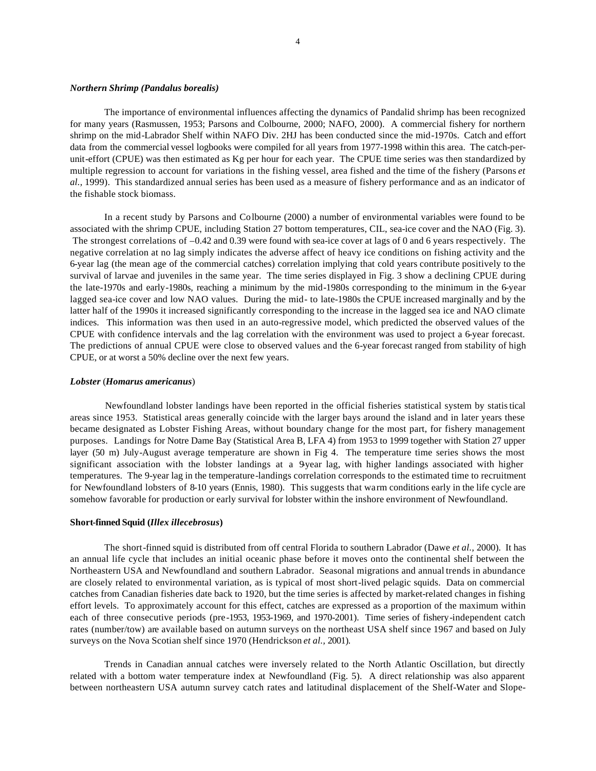## *Northern Shrimp (Pandalus borealis)*

The importance of environmental influences affecting the dynamics of Pandalid shrimp has been recognized for many years (Rasmussen, 1953; Parsons and Colbourne, 2000; NAFO, 2000). A commercial fishery for northern shrimp on the mid-Labrador Shelf within NAFO Div. 2HJ has been conducted since the mid-1970s. Catch and effort data from the commercial vessel logbooks were compiled for all years from 1977-1998 within this area. The catch-perunit-effort (CPUE) was then estimated as Kg per hour for each year. The CPUE time series was then standardized by multiple regression to account for variations in the fishing vessel, area fished and the time of the fishery (Parsons *et al.,* 1999). This standardized annual series has been used as a measure of fishery performance and as an indicator of the fishable stock biomass.

In a recent study by Parsons and Colbourne (2000) a number of environmental variables were found to be associated with the shrimp CPUE, including Station 27 bottom temperatures, CIL, sea-ice cover and the NAO (Fig. 3). The strongest correlations of –0.42 and 0.39 were found with sea-ice cover at lags of 0 and 6 years respectively. The negative correlation at no lag simply indicates the adverse affect of heavy ice conditions on fishing activity and the 6-year lag (the mean age of the commercial catches) correlation implying that cold years contribute positively to the survival of larvae and juveniles in the same year. The time series displayed in Fig. 3 show a declining CPUE during the late-1970s and early-1980s, reaching a minimum by the mid-1980s corresponding to the minimum in the 6-year lagged sea-ice cover and low NAO values. During the mid- to late-1980s the CPUE increased marginally and by the latter half of the 1990s it increased significantly corresponding to the increase in the lagged sea ice and NAO climate indices. This information was then used in an auto-regressive model, which predicted the observed values of the CPUE with confidence intervals and the lag correlation with the environment was used to project a 6-year forecast. The predictions of annual CPUE were close to observed values and the 6-year forecast ranged from stability of high CPUE, or at worst a 50% decline over the next few years.

## *Lobster* (*Homarus americanus*)

Newfoundland lobster landings have been reported in the official fisheries statistical system by statistical areas since 1953. Statistical areas generally coincide with the larger bays around the island and in later years these became designated as Lobster Fishing Areas, without boundary change for the most part, for fishery management purposes. Landings for Notre Dame Bay (Statistical Area B, LFA 4) from 1953 to 1999 together with Station 27 upper layer (50 m) July-August average temperature are shown in Fig 4. The temperature time series shows the most significant association with the lobster landings at a 9year lag, with higher landings associated with higher temperatures. The 9-year lag in the temperature-landings correlation corresponds to the estimated time to recruitment for Newfoundland lobsters of 8-10 years (Ennis, 1980). This suggests that warm conditions early in the life cycle are somehow favorable for production or early survival for lobster within the inshore environment of Newfoundland.

#### **Short-finned Squid (***Illex illecebrosus***)**

The short-finned squid is distributed from off central Florida to southern Labrador (Dawe *et al.,* 2000). It has an annual life cycle that includes an initial oceanic phase before it moves onto the continental shelf between the Northeastern USA and Newfoundland and southern Labrador. Seasonal migrations and annual trends in abundance are closely related to environmental variation, as is typical of most short-lived pelagic squids. Data on commercial catches from Canadian fisheries date back to 1920, but the time series is affected by market-related changes in fishing effort levels. To approximately account for this effect, catches are expressed as a proportion of the maximum within each of three consecutive periods (pre-1953, 1953-1969, and 1970-2001). Time series of fishery-independent catch rates (number/tow) are available based on autumn surveys on the northeast USA shelf since 1967 and based on July surveys on the Nova Scotian shelf since 1970 (Hendrickson *et al.,* 2001).

Trends in Canadian annual catches were inversely related to the North Atlantic Oscillation, but directly related with a bottom water temperature index at Newfoundland (Fig. 5). A direct relationship was also apparent between northeastern USA autumn survey catch rates and latitudinal displacement of the Shelf-Water and Slope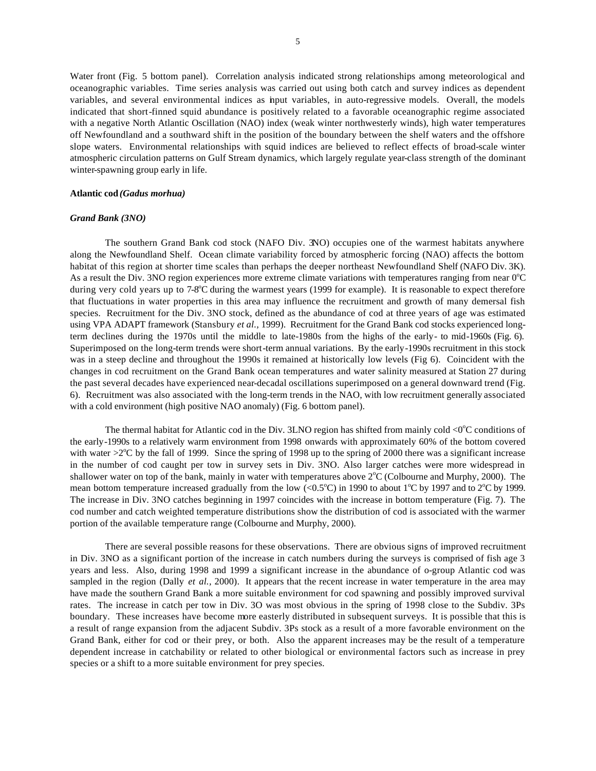Water front (Fig. 5 bottom panel). Correlation analysis indicated strong relationships among meteorological and oceanographic variables. Time series analysis was carried out using both catch and survey indices as dependent variables, and several environmental indices as input variables, in auto-regressive models. Overall, the models indicated that short-finned squid abundance is positively related to a favorable oceanographic regime associated with a negative North Atlantic Oscillation (NAO) index (weak winter northwesterly winds), high water temperatures off Newfoundland and a southward shift in the position of the boundary between the shelf waters and the offshore slope waters. Environmental relationships with squid indices are believed to reflect effects of broad-scale winter atmospheric circulation patterns on Gulf Stream dynamics, which largely regulate year-class strength of the dominant winter-spawning group early in life.

### **Atlantic cod** *(Gadus morhua)*

## *Grand Bank (3NO)*

The southern Grand Bank cod stock (NAFO Div. 3NO) occupies one of the warmest habitats anywhere along the Newfoundland Shelf. Ocean climate variability forced by atmospheric forcing (NAO) affects the bottom habitat of this region at shorter time scales than perhaps the deeper northeast Newfoundland Shelf (NAFO Div. 3K). As a result the Div. 3NO region experiences more extreme climate variations with temperatures ranging from near  $0^{\circ}C$ during very cold years up to 7-8°C during the warmest years (1999 for example). It is reasonable to expect therefore that fluctuations in water properties in this area may influence the recruitment and growth of many demersal fish species. Recruitment for the Div. 3NO stock, defined as the abundance of cod at three years of age was estimated using VPA ADAPT framework (Stansbury *et al.,* 1999). Recruitment for the Grand Bank cod stocks experienced longterm declines during the 1970s until the middle to late-1980s from the highs of the early- to mid-1960s (Fig. 6). Superimposed on the long-term trends were short-term annual variations. By the early-1990s recruitment in this stock was in a steep decline and throughout the 1990s it remained at historically low levels (Fig 6). Coincident with the changes in cod recruitment on the Grand Bank ocean temperatures and water salinity measured at Station 27 during the past several decades have experienced near-decadal oscillations superimposed on a general downward trend (Fig. 6). Recruitment was also associated with the long-term trends in the NAO, with low recruitment generally associated with a cold environment (high positive NAO anomaly) (Fig. 6 bottom panel).

The thermal habitat for Atlantic cod in the Div. 3LNO region has shifted from mainly cold  $\langle 0^{\circ}$ C conditions of the early-1990s to a relatively warm environment from 1998 onwards with approximately 60% of the bottom covered with water  $>2^{\circ}$ C by the fall of 1999. Since the spring of 1998 up to the spring of 2000 there was a significant increase in the number of cod caught per tow in survey sets in Div. 3NO. Also larger catches were more widespread in shallower water on top of the bank, mainly in water with temperatures above  $2^{\circ}C$  (Colbourne and Murphy, 2000). The mean bottom temperature increased gradually from the low  $(<0.5^{\circ}C$ ) in 1990 to about 1<sup>o</sup>C by 1997 and to 2<sup>o</sup>C by 1999. The increase in Div. 3NO catches beginning in 1997 coincides with the increase in bottom temperature (Fig. 7). The cod number and catch weighted temperature distributions show the distribution of cod is associated with the warmer portion of the available temperature range (Colbourne and Murphy, 2000).

There are several possible reasons for these observations. There are obvious signs of improved recruitment in Div. 3NO as a significant portion of the increase in catch numbers during the surveys is comprised of fish age 3 years and less. Also, during 1998 and 1999 a significant increase in the abundance of o-group Atlantic cod was sampled in the region (Dally *et al.*, 2000). It appears that the recent increase in water temperature in the area may have made the southern Grand Bank a more suitable environment for cod spawning and possibly improved survival rates. The increase in catch per tow in Div. 3O was most obvious in the spring of 1998 close to the Subdiv. 3Ps boundary. These increases have become more easterly distributed in subsequent surveys. It is possible that this is a result of range expansion from the adjacent Subdiv. 3Ps stock as a result of a more favorable environment on the Grand Bank, either for cod or their prey, or both. Also the apparent increases may be the result of a temperature dependent increase in catchability or related to other biological or environmental factors such as increase in prey species or a shift to a more suitable environment for prey species.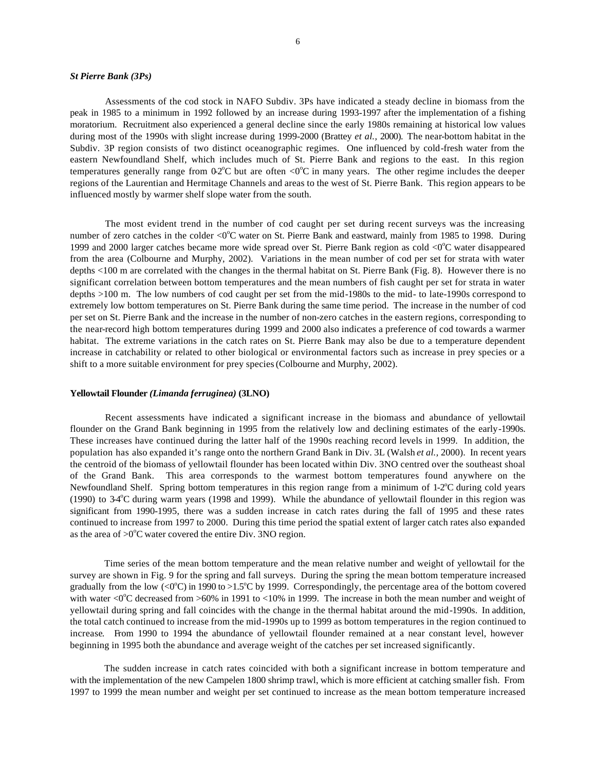#### *St Pierre Bank (3Ps)*

Assessments of the cod stock in NAFO Subdiv. 3Ps have indicated a steady decline in biomass from the peak in 1985 to a minimum in 1992 followed by an increase during 1993-1997 after the implementation of a fishing moratorium. Recruitment also experienced a general decline since the early 1980s remaining at historical low values during most of the 1990s with slight increase during 1999-2000 (Brattey *et al.,* 2000). The near-bottom habitat in the Subdiv. 3P region consists of two distinct oceanographic regimes. One influenced by cold-fresh water from the eastern Newfoundland Shelf, which includes much of St. Pierre Bank and regions to the east. In this region temperatures generally range from  $0.2^{\circ}$ C but are often <0 $^{\circ}$ C in many years. The other regime includes the deeper regions of the Laurentian and Hermitage Channels and areas to the west of St. Pierre Bank. This region appears to be influenced mostly by warmer shelf slope water from the south.

The most evident trend in the number of cod caught per set during recent surveys was the increasing number of zero catches in the colder <0°C water on St. Pierre Bank and eastward, mainly from 1985 to 1998. During 1999 and 2000 larger catches became more wide spread over St. Pierre Bank region as cold  $\langle 0^{\circ}$ C water disappeared from the area (Colbourne and Murphy, 2002). Variations in the mean number of cod per set for strata with water depths <100 m are correlated with the changes in the thermal habitat on St. Pierre Bank (Fig. 8). However there is no significant correlation between bottom temperatures and the mean numbers of fish caught per set for strata in water depths >100 m. The low numbers of cod caught per set from the mid-1980s to the mid- to late-1990s correspond to extremely low bottom temperatures on St. Pierre Bank during the same time period. The increase in the number of cod per set on St. Pierre Bank and the increase in the number of non-zero catches in the eastern regions, corresponding to the near-record high bottom temperatures during 1999 and 2000 also indicates a preference of cod towards a warmer habitat. The extreme variations in the catch rates on St. Pierre Bank may also be due to a temperature dependent increase in catchability or related to other biological or environmental factors such as increase in prey species or a shift to a more suitable environment for prey species (Colbourne and Murphy, 2002).

#### **Yellowtail Flounder** *(Limanda ferruginea)* **(3LNO)**

Recent assessments have indicated a significant increase in the biomass and abundance of yellowtail flounder on the Grand Bank beginning in 1995 from the relatively low and declining estimates of the early-1990s. These increases have continued during the latter half of the 1990s reaching record levels in 1999. In addition, the population has also expanded it's range onto the northern Grand Bank in Div. 3L (Walsh *et al.,* 2000). In recent years the centroid of the biomass of yellowtail flounder has been located within Div. 3NO centred over the southeast shoal of the Grand Bank. This area corresponds to the warmest bottom temperatures found anywhere on the Newfoundland Shelf. Spring bottom temperatures in this region range from a minimum of 1-2°C during cold years (1990) to 34°C during warm years (1998 and 1999). While the abundance of yellowtail flounder in this region was significant from 1990-1995, there was a sudden increase in catch rates during the fall of 1995 and these rates continued to increase from 1997 to 2000. During this time period the spatial extent of larger catch rates also expanded as the area of  $>0^{\circ}$ C water covered the entire Div. 3NO region.

Time series of the mean bottom temperature and the mean relative number and weight of yellowtail for the survey are shown in Fig. 9 for the spring and fall surveys. During the spring the mean bottom temperature increased gradually from the low  $\langle 0^{\circ}C \rangle$  in 1990 to >1.5°C by 1999. Correspondingly, the percentage area of the bottom covered with water  $\langle 0^{\circ}$ C decreased from  $>60\%$  in 1991 to  $<10\%$  in 1999. The increase in both the mean number and weight of yellowtail during spring and fall coincides with the change in the thermal habitat around the mid-1990s. In addition, the total catch continued to increase from the mid-1990s up to 1999 as bottom temperatures in the region continued to increase. From 1990 to 1994 the abundance of yellowtail flounder remained at a near constant level, however beginning in 1995 both the abundance and average weight of the catches per set increased significantly.

The sudden increase in catch rates coincided with both a significant increase in bottom temperature and with the implementation of the new Campelen 1800 shrimp trawl, which is more efficient at catching smaller fish. From 1997 to 1999 the mean number and weight per set continued to increase as the mean bottom temperature increased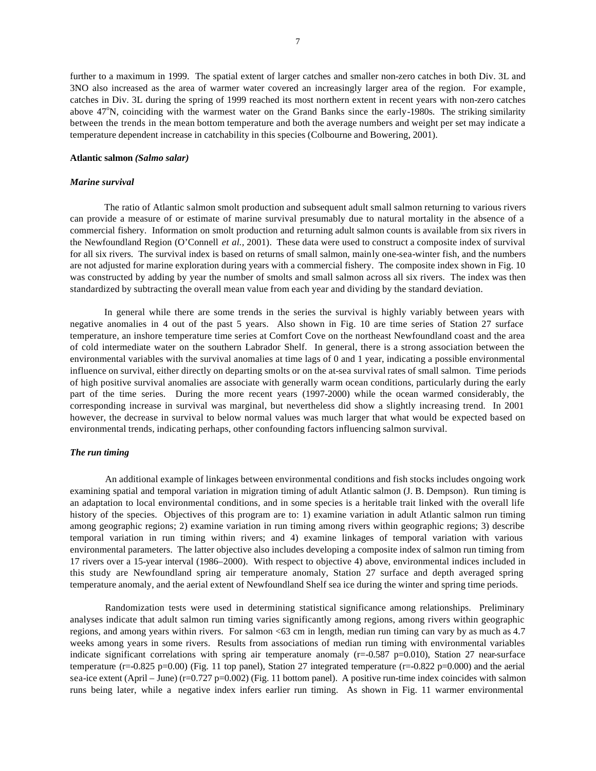further to a maximum in 1999. The spatial extent of larger catches and smaller non-zero catches in both Div. 3L and 3NO also increased as the area of warmer water covered an increasingly larger area of the region. For example, catches in Div. 3L during the spring of 1999 reached its most northern extent in recent years with non-zero catches above 47°N, coinciding with the warmest water on the Grand Banks since the early-1980s. The striking similarity between the trends in the mean bottom temperature and both the average numbers and weight per set may indicate a temperature dependent increase in catchability in this species (Colbourne and Bowering, 2001).

## **Atlantic salmon** *(Salmo salar)*

## *Marine survival*

The ratio of Atlantic salmon smolt production and subsequent adult small salmon returning to various rivers can provide a measure of or estimate of marine survival presumably due to natural mortality in the absence of a commercial fishery. Information on smolt production and returning adult salmon counts is available from six rivers in the Newfoundland Region (O'Connell *et al.,* 2001). These data were used to construct a composite index of survival for all six rivers. The survival index is based on returns of small salmon, mainly one-sea-winter fish, and the numbers are not adjusted for marine exploration during years with a commercial fishery. The composite index shown in Fig. 10 was constructed by adding by year the number of smolts and small salmon across all six rivers. The index was then standardized by subtracting the overall mean value from each year and dividing by the standard deviation.

In general while there are some trends in the series the survival is highly variably between years with negative anomalies in 4 out of the past 5 years. Also shown in Fig. 10 are time series of Station 27 surface temperature, an inshore temperature time series at Comfort Cove on the northeast Newfoundland coast and the area of cold intermediate water on the southern Labrador Shelf. In general, there is a strong association between the environmental variables with the survival anomalies at time lags of 0 and 1 year, indicating a possible environmental influence on survival, either directly on departing smolts or on the at-sea survival rates of small salmon. Time periods of high positive survival anomalies are associate with generally warm ocean conditions, particularly during the early part of the time series. During the more recent years (1997-2000) while the ocean warmed considerably, the corresponding increase in survival was marginal, but nevertheless did show a slightly increasing trend. In 2001 however, the decrease in survival to below normal values was much larger that what would be expected based on environmental trends, indicating perhaps, other confounding factors influencing salmon survival.

## *The run timing*

An additional example of linkages between environmental conditions and fish stocks includes ongoing work examining spatial and temporal variation in migration timing of adult Atlantic salmon (J. B. Dempson). Run timing is an adaptation to local environmental conditions, and in some species is a heritable trait linked with the overall life history of the species. Objectives of this program are to: 1) examine variation in adult Atlantic salmon run timing among geographic regions; 2) examine variation in run timing among rivers within geographic regions; 3) describe temporal variation in run timing within rivers; and 4) examine linkages of temporal variation with various environmental parameters. The latter objective also includes developing a composite index of salmon run timing from 17 rivers over a 15-year interval (1986–2000). With respect to objective 4) above, environmental indices included in this study are Newfoundland spring air temperature anomaly, Station 27 surface and depth averaged spring temperature anomaly, and the aerial extent of Newfoundland Shelf sea ice during the winter and spring time periods.

Randomization tests were used in determining statistical significance among relationships. Preliminary analyses indicate that adult salmon run timing varies significantly among regions, among rivers within geographic regions, and among years within rivers. For salmon <63 cm in length, median run timing can vary by as much as 4.7 weeks among years in some rivers. Results from associations of median run timing with environmental variables indicate significant correlations with spring air temperature anomaly  $(r=-0.587 \text{ p} = 0.010)$ , Station 27 near-surface temperature  $(r=0.825 \text{ p}=0.00)$  (Fig. 11 top panel), Station 27 integrated temperature  $(r=0.822 \text{ p}=0.000)$  and the aerial sea-ice extent (April – June) (r=0.727 p=0.002) (Fig. 11 bottom panel). A positive run-time index coincides with salmon runs being later, while a negative index infers earlier run timing. As shown in Fig. 11 warmer environmental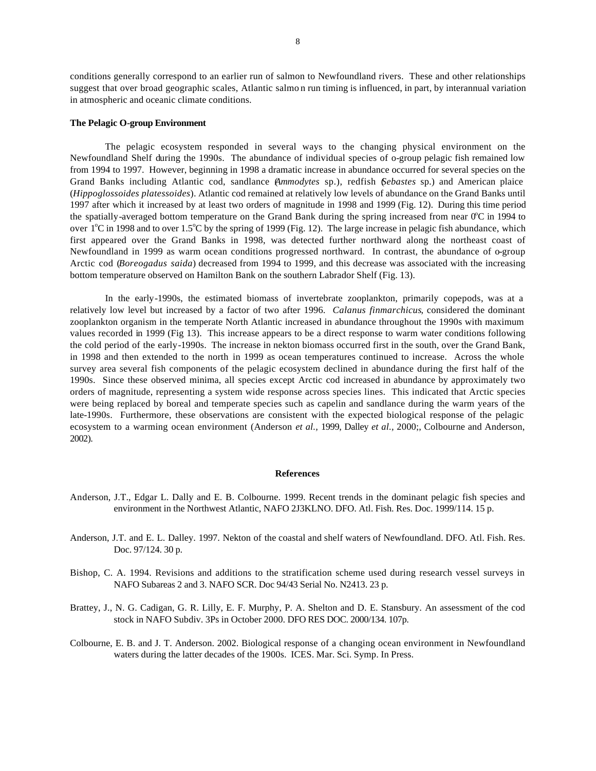conditions generally correspond to an earlier run of salmon to Newfoundland rivers. These and other relationships suggest that over broad geographic scales, Atlantic salmo n run timing is influenced, in part, by interannual variation in atmospheric and oceanic climate conditions.

#### **The Pelagic O-group Environment**

The pelagic ecosystem responded in several ways to the changing physical environment on the Newfoundland Shelf during the 1990s. The abundance of individual species of o-group pelagic fish remained low from 1994 to 1997. However, beginning in 1998 a dramatic increase in abundance occurred for several species on the Grand Banks including Atlantic cod, sandlance (*Ammodytes* sp.), redfish (*Sebastes* sp.) and American plaice (*Hippoglossoides platessoides*). Atlantic cod remained at relatively low levels of abundance on the Grand Banks until 1997 after which it increased by at least two orders of magnitude in 1998 and 1999 (Fig. 12). During this time period the spatially-averaged bottom temperature on the Grand Bank during the spring increased from near  $0^{\circ}$ C in 1994 to over  $1^{\circ}$ C in 1998 and to over 1.5<sup>o</sup>C by the spring of 1999 (Fig. 12). The large increase in pelagic fish abundance, which first appeared over the Grand Banks in 1998, was detected further northward along the northeast coast of Newfoundland in 1999 as warm ocean conditions progressed northward. In contrast, the abundance of o-group Arctic cod (*Boreogadus saida*) decreased from 1994 to 1999, and this decrease was associated with the increasing bottom temperature observed on Hamilton Bank on the southern Labrador Shelf (Fig. 13).

In the early-1990s, the estimated biomass of invertebrate zooplankton, primarily copepods, was at a relatively low level but increased by a factor of two after 1996. *Calanus finmarchicus*, considered the dominant zooplankton organism in the temperate North Atlantic increased in abundance throughout the 1990s with maximum values recorded in 1999 (Fig 13). This increase appears to be a direct response to warm water conditions following the cold period of the early-1990s. The increase in nekton biomass occurred first in the south, over the Grand Bank, in 1998 and then extended to the north in 1999 as ocean temperatures continued to increase. Across the whole survey area several fish components of the pelagic ecosystem declined in abundance during the first half of the 1990s. Since these observed minima, all species except Arctic cod increased in abundance by approximately two orders of magnitude, representing a system wide response across species lines. This indicated that Arctic species were being replaced by boreal and temperate species such as capelin and sandlance during the warm years of the late-1990s. Furthermore, these observations are consistent with the expected biological response of the pelagic ecosystem to a warming ocean environment (Anderson *et al.,* 1999, Dalley *et al.,* 2000;, Colbourne and Anderson, 2002).

## **References**

- Anderson, J.T., Edgar L. Dally and E. B. Colbourne. 1999. Recent trends in the dominant pelagic fish species and environment in the Northwest Atlantic, NAFO 2J3KLNO. DFO. Atl. Fish. Res. Doc. 1999/114. 15 p.
- Anderson, J.T. and E. L. Dalley. 1997. Nekton of the coastal and shelf waters of Newfoundland. DFO. Atl. Fish. Res. Doc. 97/124. 30 p.
- Bishop, C. A. 1994. Revisions and additions to the stratification scheme used during research vessel surveys in NAFO Subareas 2 and 3. NAFO SCR. Doc 94/43 Serial No. N2413. 23 p.
- Brattey, J., N. G. Cadigan, G. R. Lilly, E. F. Murphy, P. A. Shelton and D. E. Stansbury. An assessment of the cod stock in NAFO Subdiv. 3Ps in October 2000. DFO RES DOC. 2000/134. 107p.
- Colbourne, E. B. and J. T. Anderson. 2002. Biological response of a changing ocean environment in Newfoundland waters during the latter decades of the 1900s. ICES. Mar. Sci. Symp. In Press.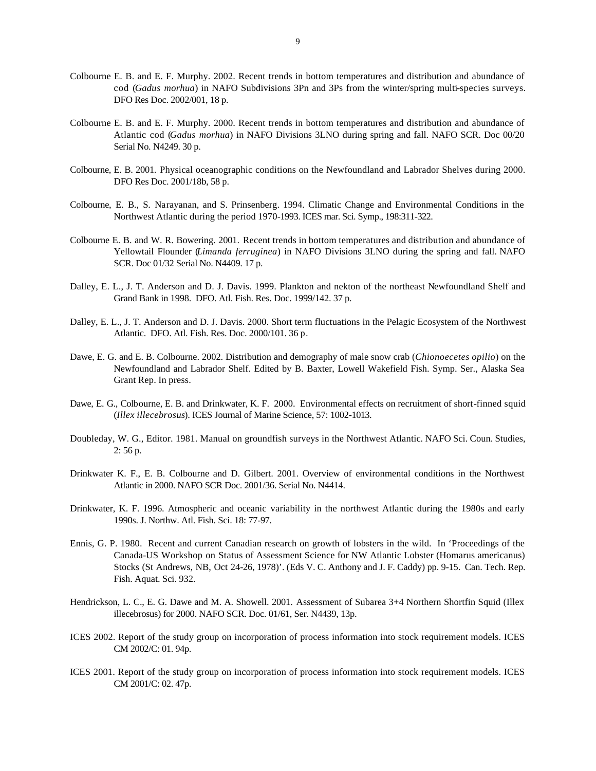- Colbourne E. B. and E. F. Murphy. 2002. Recent trends in bottom temperatures and distribution and abundance of cod (*Gadus morhua*) in NAFO Subdivisions 3Pn and 3Ps from the winter/spring multi-species surveys. DFO Res Doc. 2002/001, 18 p.
- Colbourne E. B. and E. F. Murphy. 2000. Recent trends in bottom temperatures and distribution and abundance of Atlantic cod (*Gadus morhua*) in NAFO Divisions 3LNO during spring and fall. NAFO SCR. Doc 00/20 Serial No. N4249. 30 p.
- Colbourne, E. B. 2001. Physical oceanographic conditions on the Newfoundland and Labrador Shelves during 2000. DFO Res Doc. 2001/18b, 58 p.
- Colbourne, E. B., S. Narayanan, and S. Prinsenberg. 1994. Climatic Change and Environmental Conditions in the Northwest Atlantic during the period 1970-1993. ICES mar. Sci. Symp., 198:311-322.
- Colbourne E. B. and W. R. Bowering. 2001. Recent trends in bottom temperatures and distribution and abundance of Yellowtail Flounder (*Limanda ferruginea*) in NAFO Divisions 3LNO during the spring and fall. NAFO SCR. Doc 01/32 Serial No. N4409. 17 p.
- Dalley, E. L., J. T. Anderson and D. J. Davis. 1999. Plankton and nekton of the northeast Newfoundland Shelf and Grand Bank in 1998. DFO. Atl. Fish. Res. Doc. 1999/142. 37 p.
- Dalley, E. L., J. T. Anderson and D. J. Davis. 2000. Short term fluctuations in the Pelagic Ecosystem of the Northwest Atlantic. DFO. Atl. Fish. Res. Doc. 2000/101. 36 p.
- Dawe, E. G. and E. B. Colbourne. 2002. Distribution and demography of male snow crab (*Chionoecetes opilio*) on the Newfoundland and Labrador Shelf. Edited by B. Baxter, Lowell Wakefield Fish. Symp. Ser., Alaska Sea Grant Rep. In press.
- Dawe, E. G., Colbourne, E. B. and Drinkwater, K. F. 2000. Environmental effects on recruitment of short-finned squid (*Illex illecebrosus*). ICES Journal of Marine Science, 57: 1002-1013.
- Doubleday, W. G., Editor. 1981. Manual on groundfish surveys in the Northwest Atlantic. NAFO Sci. Coun. Studies, 2: 56 p.
- Drinkwater K. F., E. B. Colbourne and D. Gilbert. 2001. Overview of environmental conditions in the Northwest Atlantic in 2000. NAFO SCR Doc. 2001/36. Serial No. N4414.
- Drinkwater, K. F. 1996. Atmospheric and oceanic variability in the northwest Atlantic during the 1980s and early 1990s. J. Northw. Atl. Fish. Sci. 18: 77-97.
- Ennis, G. P. 1980. Recent and current Canadian research on growth of lobsters in the wild. In 'Proceedings of the Canada-US Workshop on Status of Assessment Science for NW Atlantic Lobster (Homarus americanus) Stocks (St Andrews, NB, Oct 24-26, 1978)'. (Eds V. C. Anthony and J. F. Caddy) pp. 9-15. Can. Tech. Rep. Fish. Aquat. Sci. 932.
- Hendrickson, L. C., E. G. Dawe and M. A. Showell. 2001. Assessment of Subarea 3+4 Northern Shortfin Squid (Illex illecebrosus) for 2000. NAFO SCR. Doc. 01/61, Ser. N4439, 13p.
- ICES 2002. Report of the study group on incorporation of process information into stock requirement models. ICES CM 2002/C: 01. 94p.
- ICES 2001. Report of the study group on incorporation of process information into stock requirement models. ICES CM 2001/C: 02. 47p.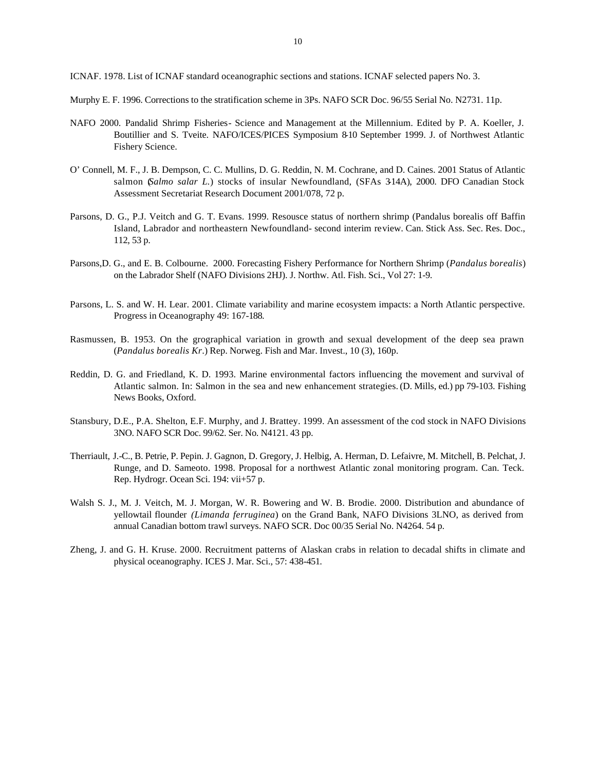ICNAF. 1978. List of ICNAF standard oceanographic sections and stations. ICNAF selected papers No. 3.

- Murphy E. F. 1996. Corrections to the stratification scheme in 3Ps. NAFO SCR Doc. 96/55 Serial No. N2731. 11p.
- NAFO 2000. Pandalid Shrimp Fisheries- Science and Management at the Millennium. Edited by P. A. Koeller, J. Boutillier and S. Tveite. NAFO/ICES/PICES Symposium 8-10 September 1999. J. of Northwest Atlantic Fishery Science.
- O' Connell, M. F., J. B. Dempson, C. C. Mullins, D. G. Reddin, N. M. Cochrane, and D. Caines. 2001 Status of Atlantic salmon (*Salmo salar L.*) stocks of insular Newfoundland, (SFAs 3-14A), 2000. DFO Canadian Stock Assessment Secretariat Research Document 2001/078, 72 p.
- Parsons, D. G., P.J. Veitch and G. T. Evans. 1999. Resousce status of northern shrimp (Pandalus borealis off Baffin Island, Labrador and northeastern Newfoundland- second interim review. Can. Stick Ass. Sec. Res. Doc., 112, 53 p.
- Parsons,D. G., and E. B. Colbourne. 2000. Forecasting Fishery Performance for Northern Shrimp (*Pandalus borealis*) on the Labrador Shelf (NAFO Divisions 2HJ). J. Northw. Atl. Fish. Sci., Vol 27: 1-9.
- Parsons, L. S. and W. H. Lear. 2001. Climate variability and marine ecosystem impacts: a North Atlantic perspective. Progress in Oceanography 49: 167-188.
- Rasmussen, B. 1953. On the grographical variation in growth and sexual development of the deep sea prawn (*Pandalus borealis Kr*.) Rep. Norweg. Fish and Mar. Invest., 10 (3), 160p.
- Reddin, D. G. and Friedland, K. D. 1993. Marine environmental factors influencing the movement and survival of Atlantic salmon. In: Salmon in the sea and new enhancement strategies. (D. Mills, ed.) pp 79-103. Fishing News Books, Oxford.
- Stansbury, D.E., P.A. Shelton, E.F. Murphy, and J. Brattey. 1999. An assessment of the cod stock in NAFO Divisions 3NO. NAFO SCR Doc. 99/62. Ser. No. N4121. 43 pp.
- Therriault, J.-C., B. Petrie, P. Pepin. J. Gagnon, D. Gregory, J. Helbig, A. Herman, D. Lefaivre, M. Mitchell, B. Pelchat, J. Runge, and D. Sameoto. 1998. Proposal for a northwest Atlantic zonal monitoring program. Can. Teck. Rep. Hydrogr. Ocean Sci. 194: vii+57 p.
- Walsh S. J., M. J. Veitch, M. J. Morgan, W. R. Bowering and W. B. Brodie. 2000. Distribution and abundance of yellowtail flounder *(Limanda ferruginea*) on the Grand Bank, NAFO Divisions 3LNO, as derived from annual Canadian bottom trawl surveys. NAFO SCR. Doc 00/35 Serial No. N4264. 54 p.
- Zheng, J. and G. H. Kruse. 2000. Recruitment patterns of Alaskan crabs in relation to decadal shifts in climate and physical oceanography. ICES J. Mar. Sci., 57: 438-451.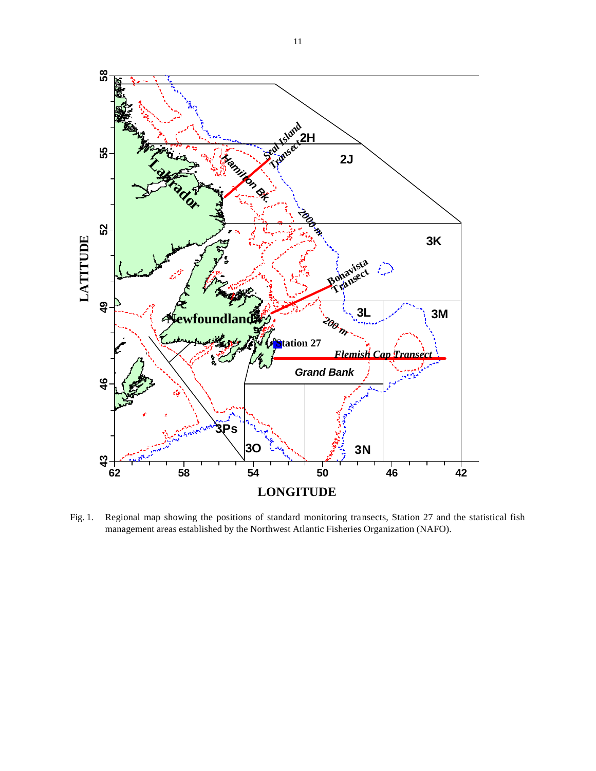

Fig. 1. Regional map showing the positions of standard monitoring transects, Station 27 and the statistical fish management areas established by the Northwest Atlantic Fisheries Organization (NAFO).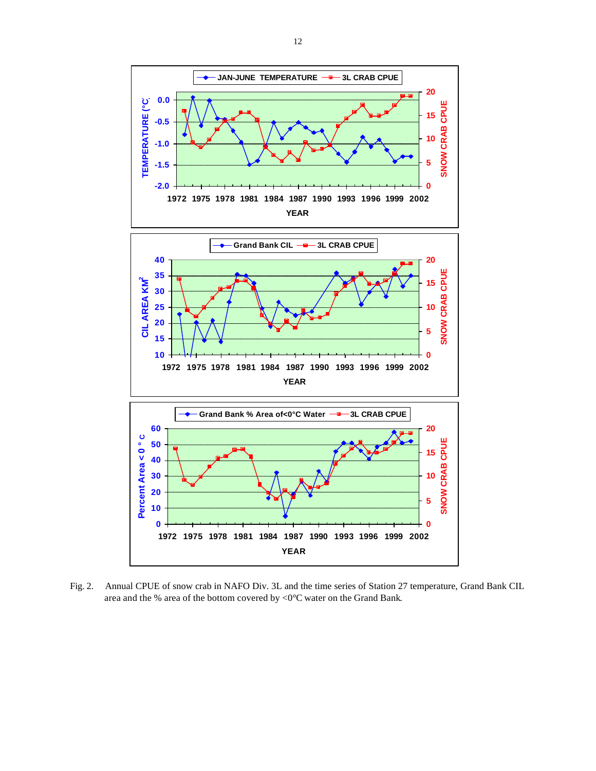

Fig. 2. Annual CPUE of snow crab in NAFO Div. 3L and the time series of Station 27 temperature, Grand Bank CIL area and the % area of the bottom covered by <0°C water on the Grand Bank.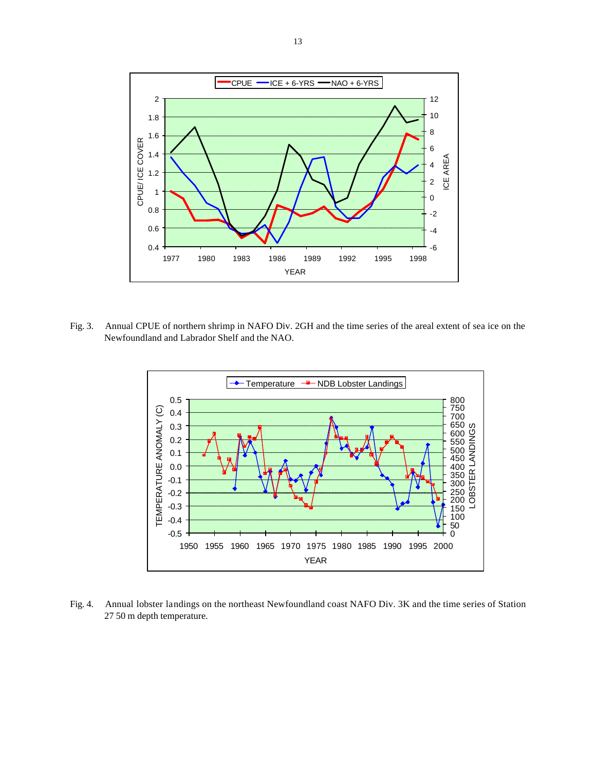

Fig. 3. Annual CPUE of northern shrimp in NAFO Div. 2GH and the time series of the areal extent of sea ice on the Newfoundland and Labrador Shelf and the NAO.



Fig. 4. Annual lobster landings on the northeast Newfoundland coast NAFO Div. 3K and the time series of Station 27 50 m depth temperature.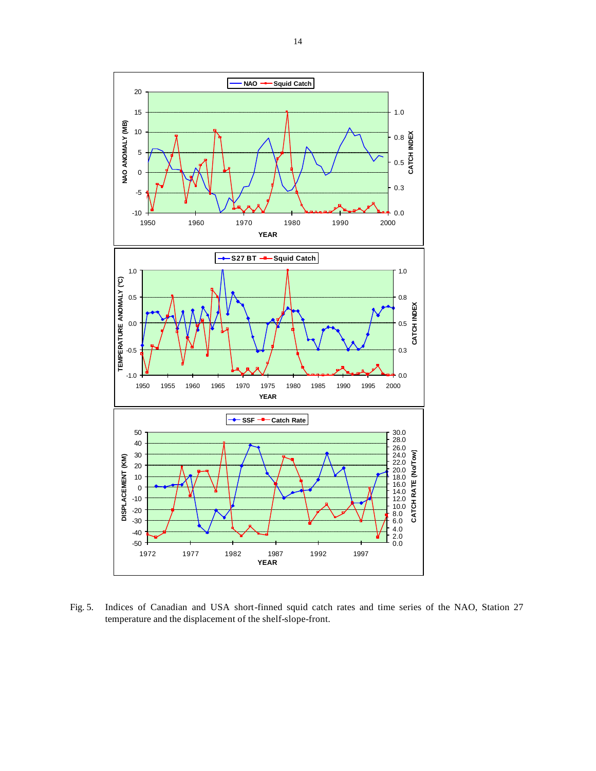

Fig. 5. Indices of Canadian and USA short-finned squid catch rates and time series of the NAO, Station 27 temperature and the displacement of the shelf-slope-front.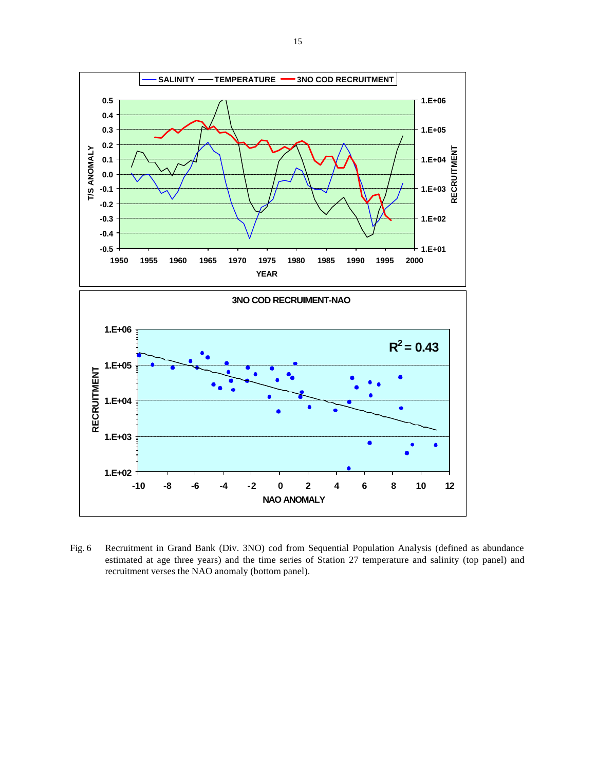

Fig. 6 Recruitment in Grand Bank (Div. 3NO) cod from Sequential Population Analysis (defined as abundance estimated at age three years) and the time series of Station 27 temperature and salinity (top panel) and recruitment verses the NAO anomaly (bottom panel).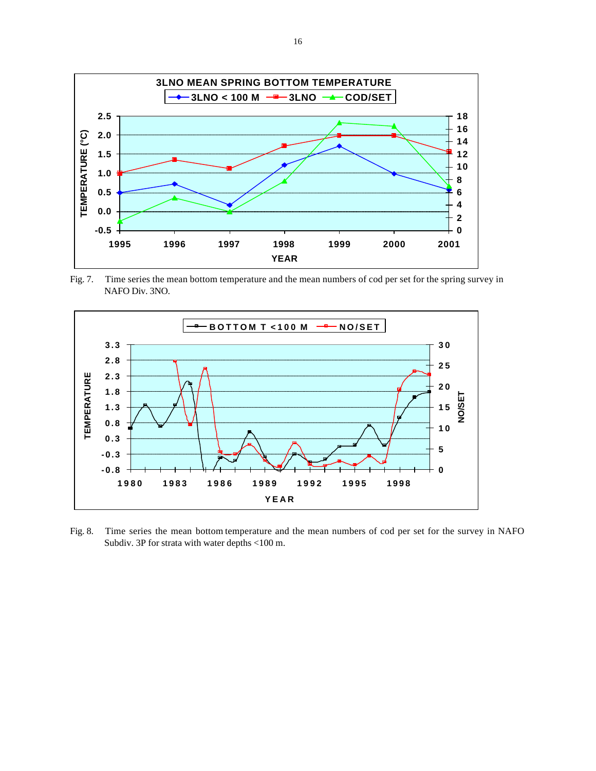

Fig. 7. Time series the mean bottom temperature and the mean numbers of cod per set for the spring survey in NAFO Div. 3NO.



Fig. 8. Time series the mean bottom temperature and the mean numbers of cod per set for the survey in NAFO Subdiv. 3P for strata with water depths <100 m.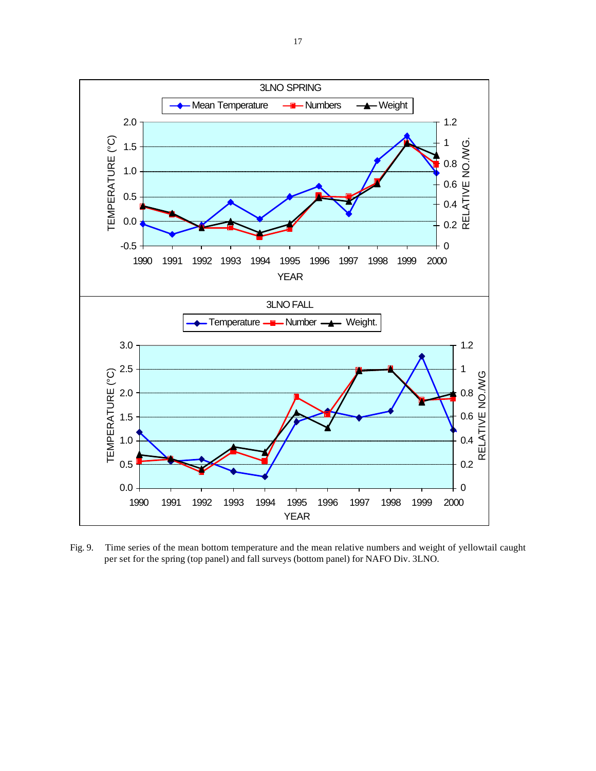

Fig. 9. Time series of the mean bottom temperature and the mean relative numbers and weight of yellowtail caught per set for the spring (top panel) and fall surveys (bottom panel) for NAFO Div. 3LNO.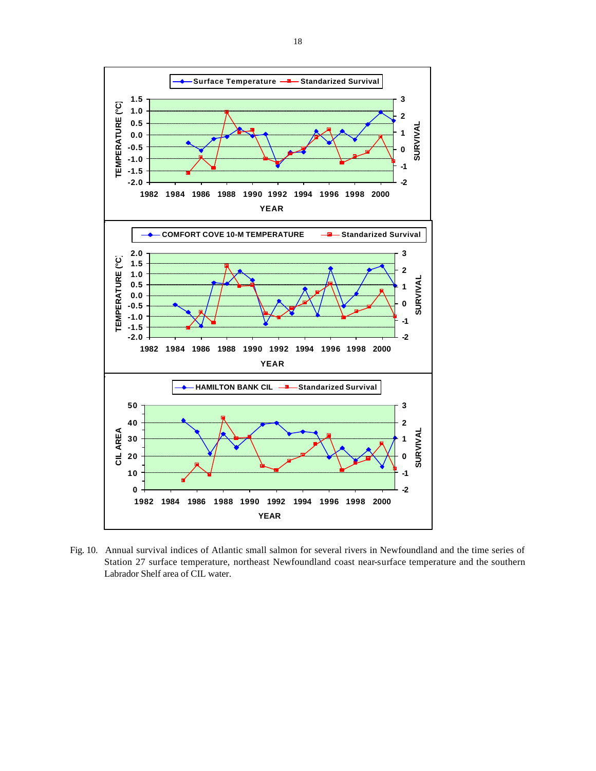

Fig. 10. Annual survival indices of Atlantic small salmon for several rivers in Newfoundland and the time series of Station 27 surface temperature, northeast Newfoundland coast near-surface temperature and the southern Labrador Shelf area of CIL water.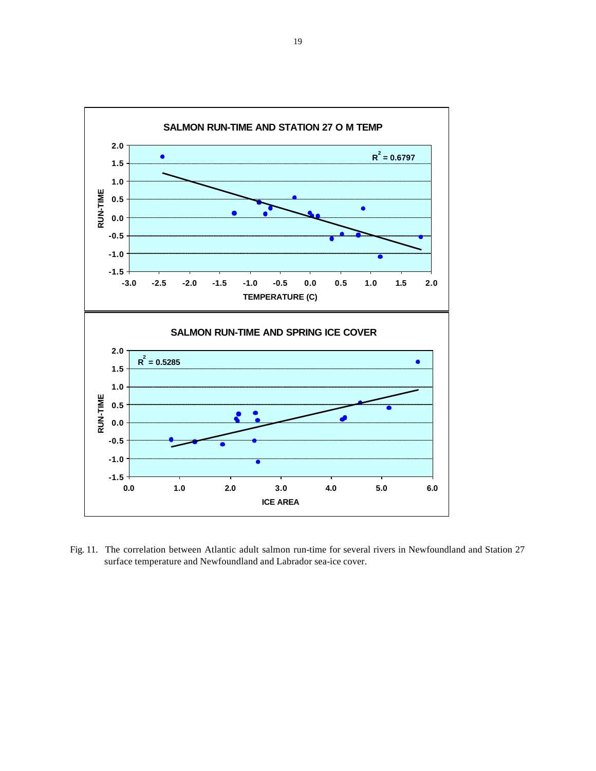

Fig. 11. The correlation between Atlantic adult salmon run-time for several rivers in Newfoundland and Station 27 surface temperature and Newfoundland and Labrador sea-ice cover.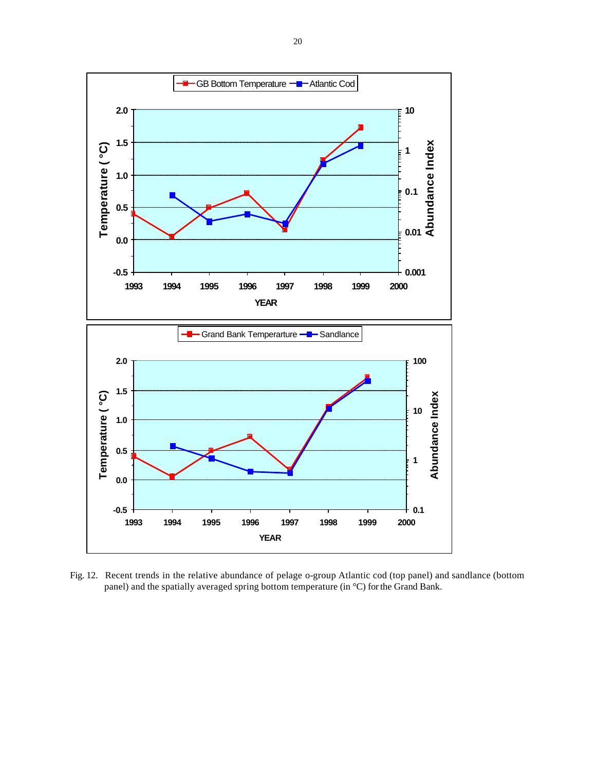

Fig. 12. Recent trends in the relative abundance of pelage o-group Atlantic cod (top panel) and sandlance (bottom panel) and the spatially averaged spring bottom temperature (in °C) for the Grand Bank.